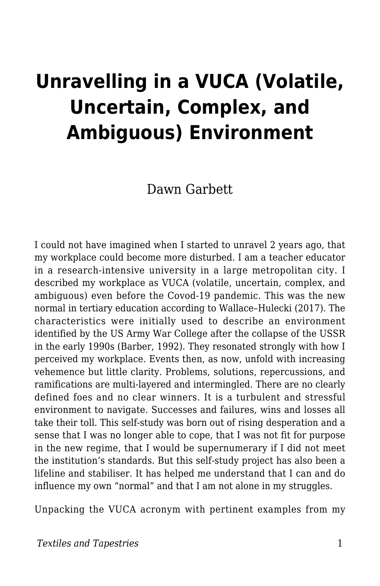# **Unravelling in a VUCA (Volatile, Uncertain, Complex, and Ambiguous) Environment**

Dawn Garbett

I could not have imagined when I started to unravel 2 years ago, that my workplace could become more disturbed. I am a teacher educator in a research-intensive university in a large metropolitan city. I described my workplace as VUCA (volatile, uncertain, complex, and ambiguous) even before the Covod-19 pandemic. This was the new normal in tertiary education according to Wallace–Hulecki (2017). The characteristics were initially used to describe an environment identified by the US Army War College after the collapse of the USSR in the early 1990s (Barber, 1992). They resonated strongly with how I perceived my workplace. Events then, as now, unfold with increasing vehemence but little clarity. Problems, solutions, repercussions, and ramifications are multi-layered and intermingled. There are no clearly defined foes and no clear winners. It is a turbulent and stressful environment to navigate. Successes and failures, wins and losses all take their toll. This self-study was born out of rising desperation and a sense that I was no longer able to cope, that I was not fit for purpose in the new regime, that I would be supernumerary if I did not meet the institution's standards. But this self-study project has also been a lifeline and stabiliser. It has helped me understand that I can and do influence my own "normal" and that I am not alone in my struggles.

Unpacking the VUCA acronym with pertinent examples from my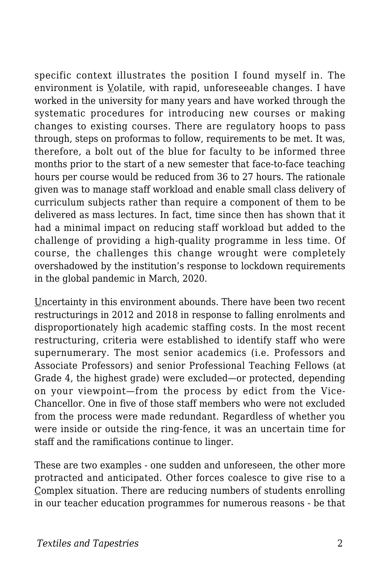specific context illustrates the position I found myself in. The environment is Volatile, with rapid, unforeseeable changes. I have worked in the university for many years and have worked through the systematic procedures for introducing new courses or making changes to existing courses. There are regulatory hoops to pass through, steps on proformas to follow, requirements to be met. It was, therefore, a bolt out of the blue for faculty to be informed three months prior to the start of a new semester that face-to-face teaching hours per course would be reduced from 36 to 27 hours. The rationale given was to manage staff workload and enable small class delivery of curriculum subjects rather than require a component of them to be delivered as mass lectures. In fact, time since then has shown that it had a minimal impact on reducing staff workload but added to the challenge of providing a high-quality programme in less time. Of course, the challenges this change wrought were completely overshadowed by the institution's response to lockdown requirements in the global pandemic in March, 2020.

Uncertainty in this environment abounds. There have been two recent restructurings in 2012 and 2018 in response to falling enrolments and disproportionately high academic staffing costs. In the most recent restructuring, criteria were established to identify staff who were supernumerary. The most senior academics (i.e. Professors and Associate Professors) and senior Professional Teaching Fellows (at Grade 4, the highest grade) were excluded—or protected, depending on your viewpoint—from the process by edict from the Vice-Chancellor. One in five of those staff members who were not excluded from the process were made redundant. Regardless of whether you were inside or outside the ring-fence, it was an uncertain time for staff and the ramifications continue to linger.

These are two examples - one sudden and unforeseen, the other more protracted and anticipated. Other forces coalesce to give rise to a Complex situation. There are reducing numbers of students enrolling in our teacher education programmes for numerous reasons - be that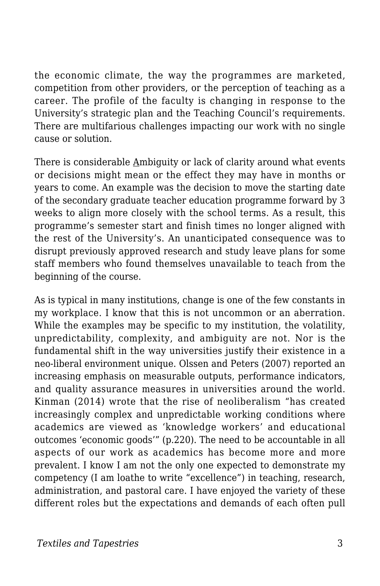the economic climate, the way the programmes are marketed, competition from other providers, or the perception of teaching as a career. The profile of the faculty is changing in response to the University's strategic plan and the Teaching Council's requirements. There are multifarious challenges impacting our work with no single cause or solution.

There is considerable Ambiguity or lack of clarity around what events or decisions might mean or the effect they may have in months or years to come. An example was the decision to move the starting date of the secondary graduate teacher education programme forward by 3 weeks to align more closely with the school terms. As a result, this programme's semester start and finish times no longer aligned with the rest of the University's. An unanticipated consequence was to disrupt previously approved research and study leave plans for some staff members who found themselves unavailable to teach from the beginning of the course.

As is typical in many institutions, change is one of the few constants in my workplace. I know that this is not uncommon or an aberration. While the examples may be specific to my institution, the volatility, unpredictability, complexity, and ambiguity are not. Nor is the fundamental shift in the way universities justify their existence in a neo-liberal environment unique. Olssen and Peters (2007) reported an increasing emphasis on measurable outputs, performance indicators, and quality assurance measures in universities around the world. Kinman (2014) wrote that the rise of neoliberalism "has created increasingly complex and unpredictable working conditions where academics are viewed as 'knowledge workers' and educational outcomes 'economic goods'" (p.220). The need to be accountable in all aspects of our work as academics has become more and more prevalent. I know I am not the only one expected to demonstrate my competency (I am loathe to write "excellence") in teaching, research, administration, and pastoral care. I have enjoyed the variety of these different roles but the expectations and demands of each often pull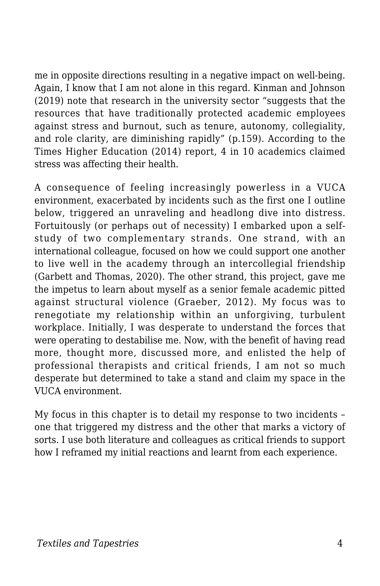me in opposite directions resulting in a negative impact on well-being. Again, I know that I am not alone in this regard. Kinman and Johnson (2019) note that research in the university sector "suggests that the resources that have traditionally protected academic employees against stress and burnout, such as tenure, autonomy, collegiality, and role clarity, are diminishing rapidly" (p.159). According to the Times Higher Education (2014) report, 4 in 10 academics claimed stress was affecting their health.

A consequence of feeling increasingly powerless in a VUCA environment, exacerbated by incidents such as the first one I outline below, triggered an unraveling and headlong dive into distress. Fortuitously (or perhaps out of necessity) I embarked upon a selfstudy of two complementary strands. One strand, with an international colleague, focused on how we could support one another to live well in the academy through an intercollegial friendship (Garbett and Thomas, 2020). The other strand, this project, gave me the impetus to learn about myself as a senior female academic pitted against structural violence (Graeber, 2012). My focus was to renegotiate my relationship within an unforgiving, turbulent workplace. Initially, I was desperate to understand the forces that were operating to destabilise me. Now, with the benefit of having read more, thought more, discussed more, and enlisted the help of professional therapists and critical friends, I am not so much desperate but determined to take a stand and claim my space in the VUCA environment.

My focus in this chapter is to detail my response to two incidents – one that triggered my distress and the other that marks a victory of sorts. I use both literature and colleagues as critical friends to support how I reframed my initial reactions and learnt from each experience.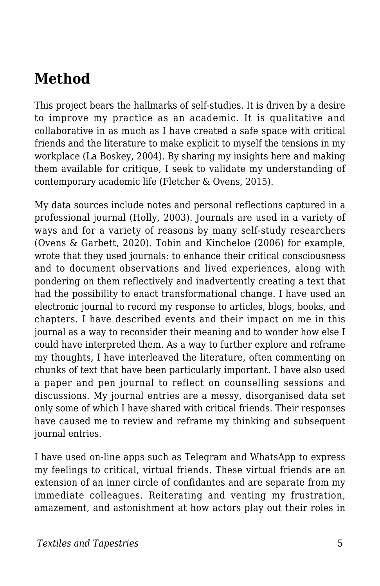### **Method**

This project bears the hallmarks of self-studies. It is driven by a desire to improve my practice as an academic. It is qualitative and collaborative in as much as I have created a safe space with critical friends and the literature to make explicit to myself the tensions in my workplace (La Boskey, 2004). By sharing my insights here and making them available for critique, I seek to validate my understanding of contemporary academic life (Fletcher & Ovens, 2015).

My data sources include notes and personal reflections captured in a professional journal (Holly, 2003). Journals are used in a variety of ways and for a variety of reasons by many self-study researchers (Ovens & Garbett, 2020). Tobin and Kincheloe (2006) for example, wrote that they used journals: to enhance their critical consciousness and to document observations and lived experiences, along with pondering on them reflectively and inadvertently creating a text that had the possibility to enact transformational change. I have used an electronic journal to record my response to articles, blogs, books, and chapters. I have described events and their impact on me in this journal as a way to reconsider their meaning and to wonder how else I could have interpreted them. As a way to further explore and reframe my thoughts, I have interleaved the literature, often commenting on chunks of text that have been particularly important. I have also used a paper and pen journal to reflect on counselling sessions and discussions. My journal entries are a messy, disorganised data set only some of which I have shared with critical friends. Their responses have caused me to review and reframe my thinking and subsequent journal entries.

I have used on-line apps such as Telegram and WhatsApp to express my feelings to critical, virtual friends. These virtual friends are an extension of an inner circle of confidantes and are separate from my immediate colleagues. Reiterating and venting my frustration, amazement, and astonishment at how actors play out their roles in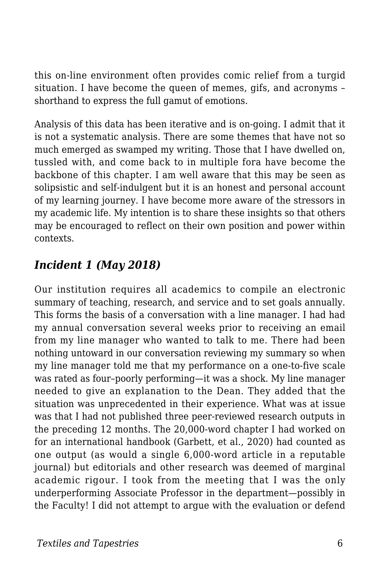this on-line environment often provides comic relief from a turgid situation. I have become the queen of memes, gifs, and acronyms – shorthand to express the full gamut of emotions.

Analysis of this data has been iterative and is on-going. I admit that it is not a systematic analysis. There are some themes that have not so much emerged as swamped my writing. Those that I have dwelled on, tussled with, and come back to in multiple fora have become the backbone of this chapter. I am well aware that this may be seen as solipsistic and self-indulgent but it is an honest and personal account of my learning journey. I have become more aware of the stressors in my academic life. My intention is to share these insights so that others may be encouraged to reflect on their own position and power within contexts.

#### *Incident 1 (May 2018)*

Our institution requires all academics to compile an electronic summary of teaching, research, and service and to set goals annually. This forms the basis of a conversation with a line manager. I had had my annual conversation several weeks prior to receiving an email from my line manager who wanted to talk to me. There had been nothing untoward in our conversation reviewing my summary so when my line manager told me that my performance on a one-to-five scale was rated as four–poorly performing—it was a shock. My line manager needed to give an explanation to the Dean. They added that the situation was unprecedented in their experience. What was at issue was that I had not published three peer-reviewed research outputs in the preceding 12 months. The 20,000-word chapter I had worked on for an international handbook (Garbett, et al., 2020) had counted as one output (as would a single 6,000-word article in a reputable journal) but editorials and other research was deemed of marginal academic rigour. I took from the meeting that I was the only underperforming Associate Professor in the department—possibly in the Faculty! I did not attempt to argue with the evaluation or defend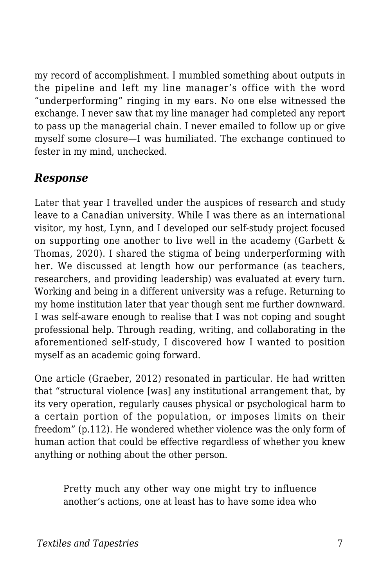my record of accomplishment. I mumbled something about outputs in the pipeline and left my line manager's office with the word "underperforming" ringing in my ears. No one else witnessed the exchange. I never saw that my line manager had completed any report to pass up the managerial chain. I never emailed to follow up or give myself some closure—I was humiliated. The exchange continued to fester in my mind, unchecked.

#### *Response*

Later that year I travelled under the auspices of research and study leave to a Canadian university. While I was there as an international visitor, my host, Lynn, and I developed our self-study project focused on supporting one another to live well in the academy (Garbett & Thomas, 2020). I shared the stigma of being underperforming with her. We discussed at length how our performance (as teachers, researchers, and providing leadership) was evaluated at every turn. Working and being in a different university was a refuge. Returning to my home institution later that year though sent me further downward. I was self-aware enough to realise that I was not coping and sought professional help. Through reading, writing, and collaborating in the aforementioned self-study, I discovered how I wanted to position myself as an academic going forward.

One article (Graeber, 2012) resonated in particular. He had written that "structural violence [was] any institutional arrangement that, by its very operation, regularly causes physical or psychological harm to a certain portion of the population, or imposes limits on their freedom" (p.112). He wondered whether violence was the only form of human action that could be effective regardless of whether you knew anything or nothing about the other person.

Pretty much any other way one might try to influence another's actions, one at least has to have some idea who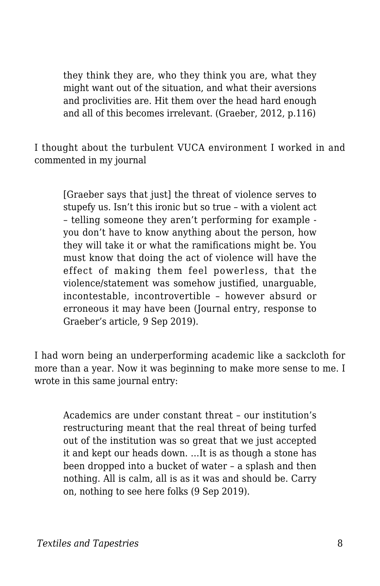they think they are, who they think you are, what they might want out of the situation, and what their aversions and proclivities are. Hit them over the head hard enough and all of this becomes irrelevant. (Graeber, 2012, p.116)

I thought about the turbulent VUCA environment I worked in and commented in my journal

[Graeber says that just] the threat of violence serves to stupefy us. Isn't this ironic but so true – with a violent act – telling someone they aren't performing for example you don't have to know anything about the person, how they will take it or what the ramifications might be. You must know that doing the act of violence will have the effect of making them feel powerless, that the violence/statement was somehow justified, unarguable, incontestable, incontrovertible – however absurd or erroneous it may have been (Journal entry, response to Graeber's article, 9 Sep 2019).

I had worn being an underperforming academic like a sackcloth for more than a year. Now it was beginning to make more sense to me. I wrote in this same journal entry:

Academics are under constant threat – our institution's restructuring meant that the real threat of being turfed out of the institution was so great that we just accepted it and kept our heads down. …It is as though a stone has been dropped into a bucket of water – a splash and then nothing. All is calm, all is as it was and should be. Carry on, nothing to see here folks (9 Sep 2019).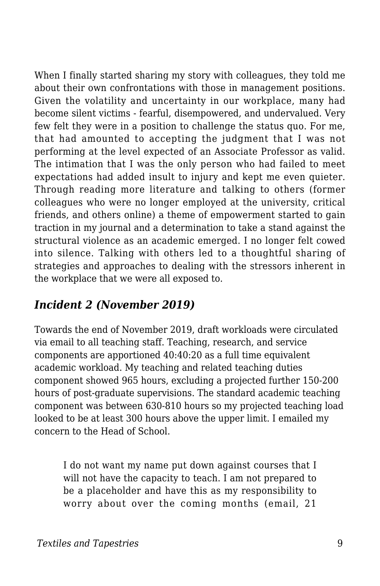When I finally started sharing my story with colleagues, they told me about their own confrontations with those in management positions. Given the volatility and uncertainty in our workplace, many had become silent victims - fearful, disempowered, and undervalued. Very few felt they were in a position to challenge the status quo. For me, that had amounted to accepting the judgment that I was not performing at the level expected of an Associate Professor as valid. The intimation that I was the only person who had failed to meet expectations had added insult to injury and kept me even quieter. Through reading more literature and talking to others (former colleagues who were no longer employed at the university, critical friends, and others online) a theme of empowerment started to gain traction in my journal and a determination to take a stand against the structural violence as an academic emerged. I no longer felt cowed into silence. Talking with others led to a thoughtful sharing of strategies and approaches to dealing with the stressors inherent in the workplace that we were all exposed to.

#### *Incident 2 (November 2019)*

Towards the end of November 2019, draft workloads were circulated via email to all teaching staff. Teaching, research, and service components are apportioned 40:40:20 as a full time equivalent academic workload. My teaching and related teaching duties component showed 965 hours, excluding a projected further 150-200 hours of post-graduate supervisions. The standard academic teaching component was between 630-810 hours so my projected teaching load looked to be at least 300 hours above the upper limit. I emailed my concern to the Head of School.

I do not want my name put down against courses that I will not have the capacity to teach. I am not prepared to be a placeholder and have this as my responsibility to worry about over the coming months (email, 21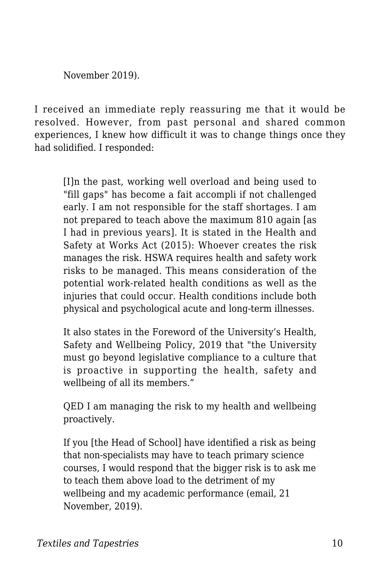November 2019).

I received an immediate reply reassuring me that it would be resolved. However, from past personal and shared common experiences, I knew how difficult it was to change things once they had solidified. I responded:

[I]n the past, working well overload and being used to "fill gaps" has become a fait accompli if not challenged early. I am not responsible for the staff shortages. I am not prepared to teach above the maximum 810 again [as I had in previous years]. It is stated in the Health and Safety at Works Act (2015): Whoever creates the risk manages the risk. HSWA requires health and safety work risks to be managed. This means consideration of the potential work-related health conditions as well as the injuries that could occur. Health conditions include both physical and psychological acute and long-term illnesses.

It also states in the Foreword of the University's Health, Safety and Wellbeing Policy, 2019 that "the University must go beyond legislative compliance to a culture that is proactive in supporting the health, safety and wellbeing of all its members."

QED I am managing the risk to my health and wellbeing proactively.

If you [the Head of School] have identified a risk as being that non-specialists may have to teach primary science courses, I would respond that the bigger risk is to ask me to teach them above load to the detriment of my wellbeing and my academic performance (email, 21 November, 2019).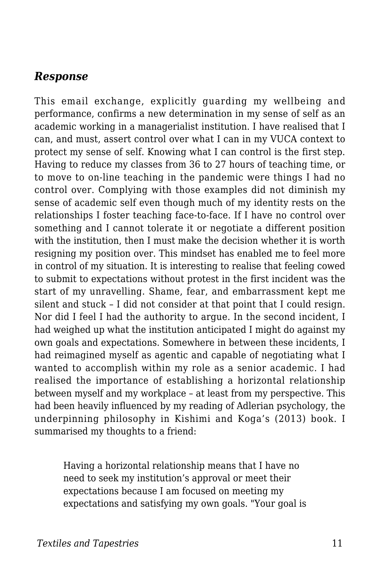#### *Response*

This email exchange, explicitly guarding my wellbeing and performance, confirms a new determination in my sense of self as an academic working in a managerialist institution. I have realised that I can, and must, assert control over what I can in my VUCA context to protect my sense of self. Knowing what I can control is the first step. Having to reduce my classes from 36 to 27 hours of teaching time, or to move to on-line teaching in the pandemic were things I had no control over. Complying with those examples did not diminish my sense of academic self even though much of my identity rests on the relationships I foster teaching face-to-face. If I have no control over something and I cannot tolerate it or negotiate a different position with the institution, then I must make the decision whether it is worth resigning my position over. This mindset has enabled me to feel more in control of my situation. It is interesting to realise that feeling cowed to submit to expectations without protest in the first incident was the start of my unravelling. Shame, fear, and embarrassment kept me silent and stuck – I did not consider at that point that I could resign. Nor did I feel I had the authority to argue. In the second incident, I had weighed up what the institution anticipated I might do against my own goals and expectations. Somewhere in between these incidents, I had reimagined myself as agentic and capable of negotiating what I wanted to accomplish within my role as a senior academic. I had realised the importance of establishing a horizontal relationship between myself and my workplace – at least from my perspective. This had been heavily influenced by my reading of Adlerian psychology, the underpinning philosophy in Kishimi and Koga's (2013) book. I summarised my thoughts to a friend:

Having a horizontal relationship means that I have no need to seek my institution's approval or meet their expectations because I am focused on meeting my expectations and satisfying my own goals. "Your goal is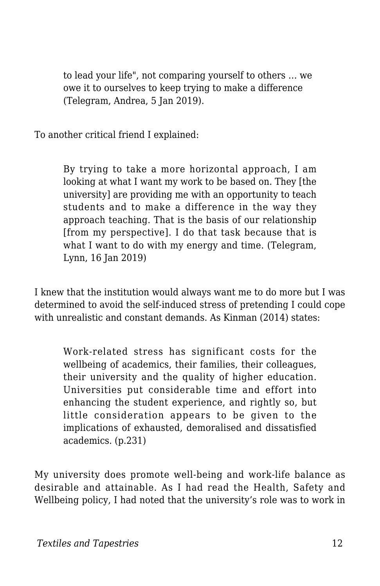to lead your life", not comparing yourself to others … we owe it to ourselves to keep trying to make a difference (Telegram, Andrea, 5 Jan 2019).

To another critical friend I explained:

By trying to take a more horizontal approach, I am looking at what I want my work to be based on. They [the university] are providing me with an opportunity to teach students and to make a difference in the way they approach teaching. That is the basis of our relationship [from my perspective]. I do that task because that is what I want to do with my energy and time. (Telegram, Lynn, 16 Jan 2019)

I knew that the institution would always want me to do more but I was determined to avoid the self-induced stress of pretending I could cope with unrealistic and constant demands. As Kinman (2014) states:

Work-related stress has significant costs for the wellbeing of academics, their families, their colleagues, their university and the quality of higher education. Universities put considerable time and effort into enhancing the student experience, and rightly so, but little consideration appears to be given to the implications of exhausted, demoralised and dissatisfied academics. (p.231)

My university does promote well-being and work-life balance as desirable and attainable. As I had read the Health, Safety and Wellbeing policy, I had noted that the university's role was to work in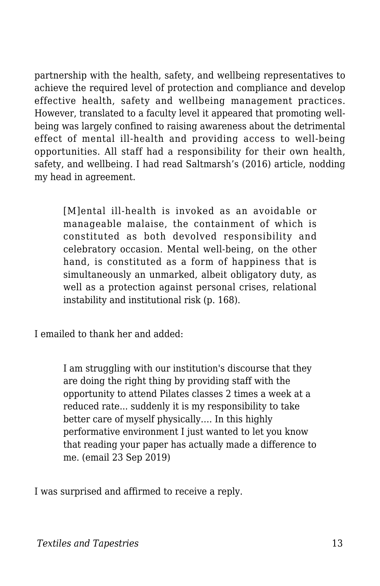partnership with the health, safety, and wellbeing representatives to achieve the required level of protection and compliance and develop effective health, safety and wellbeing management practices. However, translated to a faculty level it appeared that promoting wellbeing was largely confined to raising awareness about the detrimental effect of mental ill-health and providing access to well-being opportunities. All staff had a responsibility for their own health, safety, and wellbeing. I had read Saltmarsh's (2016) article, nodding my head in agreement.

[M]ental ill-health is invoked as an avoidable or manageable malaise, the containment of which is constituted as both devolved responsibility and celebratory occasion. Mental well-being, on the other hand, is constituted as a form of happiness that is simultaneously an unmarked, albeit obligatory duty, as well as a protection against personal crises, relational instability and institutional risk (p. 168).

I emailed to thank her and added:

I am struggling with our institution's discourse that they are doing the right thing by providing staff with the opportunity to attend Pilates classes 2 times a week at a reduced rate... suddenly it is my responsibility to take better care of myself physically…. In this highly performative environment I just wanted to let you know that reading your paper has actually made a difference to me. (email 23 Sep 2019)

I was surprised and affirmed to receive a reply.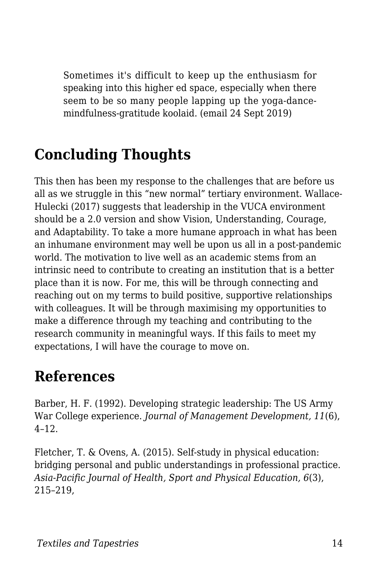Sometimes it's difficult to keep up the enthusiasm for speaking into this higher ed space, especially when there seem to be so many people lapping up the yoga-dancemindfulness-gratitude koolaid. (email 24 Sept 2019)

## **Concluding Thoughts**

This then has been my response to the challenges that are before us all as we struggle in this "new normal" tertiary environment. Wallace-Hulecki (2017) suggests that leadership in the VUCA environment should be a 2.0 version and show Vision, Understanding, Courage, and Adaptability. To take a more humane approach in what has been an inhumane environment may well be upon us all in a post-pandemic world. The motivation to live well as an academic stems from an intrinsic need to contribute to creating an institution that is a better place than it is now. For me, this will be through connecting and reaching out on my terms to build positive, supportive relationships with colleagues. It will be through maximising my opportunities to make a difference through my teaching and contributing to the research community in meaningful ways. If this fails to meet my expectations, I will have the courage to move on.

### **References**

Barber, H. F. (1992). Developing strategic leadership: The US Army War College experience. *Journal of Management Development, 11*(6), 4–12.

Fletcher, T. & Ovens, A. (2015). Self-study in physical education: bridging personal and public understandings in professional practice. *Asia-Pacific Journal of Health, Sport and Physical Education, 6*(3), 215–219,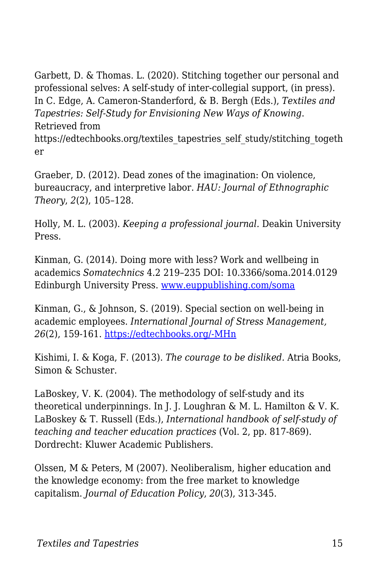Garbett, D. & Thomas. L. (2020). Stitching together our personal and professional selves: A self-study of inter-collegial support, (in press). In C. Edge, A. Cameron-Standerford, & B. Bergh (Eds.), *Textiles and Tapestries: Self-Study for Envisioning New Ways of Knowing*. Retrieved from https://edtechbooks.org/textiles\_tapestries\_self\_study/stitching\_togeth er

Graeber, D. (2012). Dead zones of the imagination: On violence, bureaucracy, and interpretive labor. *HAU: Journal of Ethnographic Theory*, *2*(2), 105–128.

Holly, M. L. (2003). *Keeping a professional journal.* Deakin University Press.

Kinman, G. (2014). Doing more with less? Work and wellbeing in academics *Somatechnics* 4.2 219–235 DOI: 10.3366/soma.2014.0129 Edinburgh University Press. [www.euppublishing.com/soma](http://www.euppublishing.com/soma)

Kinman, G., & Johnson, S. (2019). Special section on well-being in academic employees. *International Journal of Stress Management, 26*(2), 159-161. [https://edtechbooks.org/-MHn](https://psycnet.apa.org/fulltext/2019-24245-001.html)

Kishimi, I. & Koga, F. (2013). *The courage to be disliked.* Atria Books, Simon & Schuster.

LaBoskey, V. K. (2004). The methodology of self-study and its theoretical underpinnings. In J. J. Loughran & M. L. Hamilton & V. K. LaBoskey & T. Russell (Eds.), *International handbook of self-study of teaching and teacher education practices* (Vol. 2, pp. 817-869). Dordrecht: Kluwer Academic Publishers.

Olssen, M & Peters, M (2007). Neoliberalism, higher education and the knowledge economy: from the free market to knowledge capitalism. *Journal of Education Policy*, *20*(3), 313-345.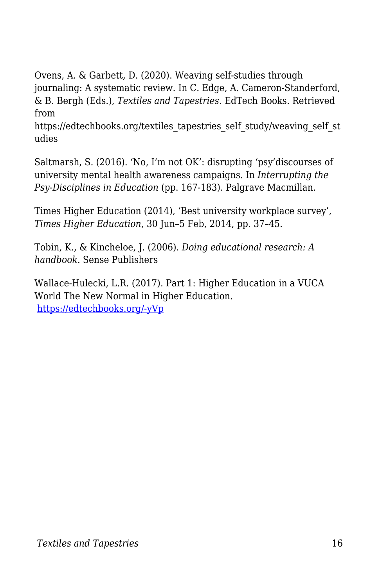Ovens, A. & Garbett, D. (2020). Weaving self-studies through journaling: A systematic review. In C. Edge, A. Cameron-Standerford, & B. Bergh (Eds.), *Textiles and Tapestries*. EdTech Books. Retrieved from

https://edtechbooks.org/textiles\_tapestries\_self\_study/weaving\_self\_st udies

Saltmarsh, S. (2016). 'No, I'm not OK': disrupting 'psy'discourses of university mental health awareness campaigns. In *Interrupting the Psy-Disciplines in Education* (pp. 167-183). Palgrave Macmillan.

Times Higher Education (2014), 'Best university workplace survey', *Times Higher Education*, 30 Jun–5 Feb, 2014, pp. 37–45.

Tobin, K., & Kincheloe, J. (2006). *Doing educational research: A handbook*. Sense Publishers

Wallace-Hulecki, L.R. (2017). Part 1: Higher Education in a VUCA World The New Normal in Higher Education. [https://edtechbooks.org/-yVp](http://www.chairacademy.com/conference/2017/conpap/WallaceHulecki.pdf)